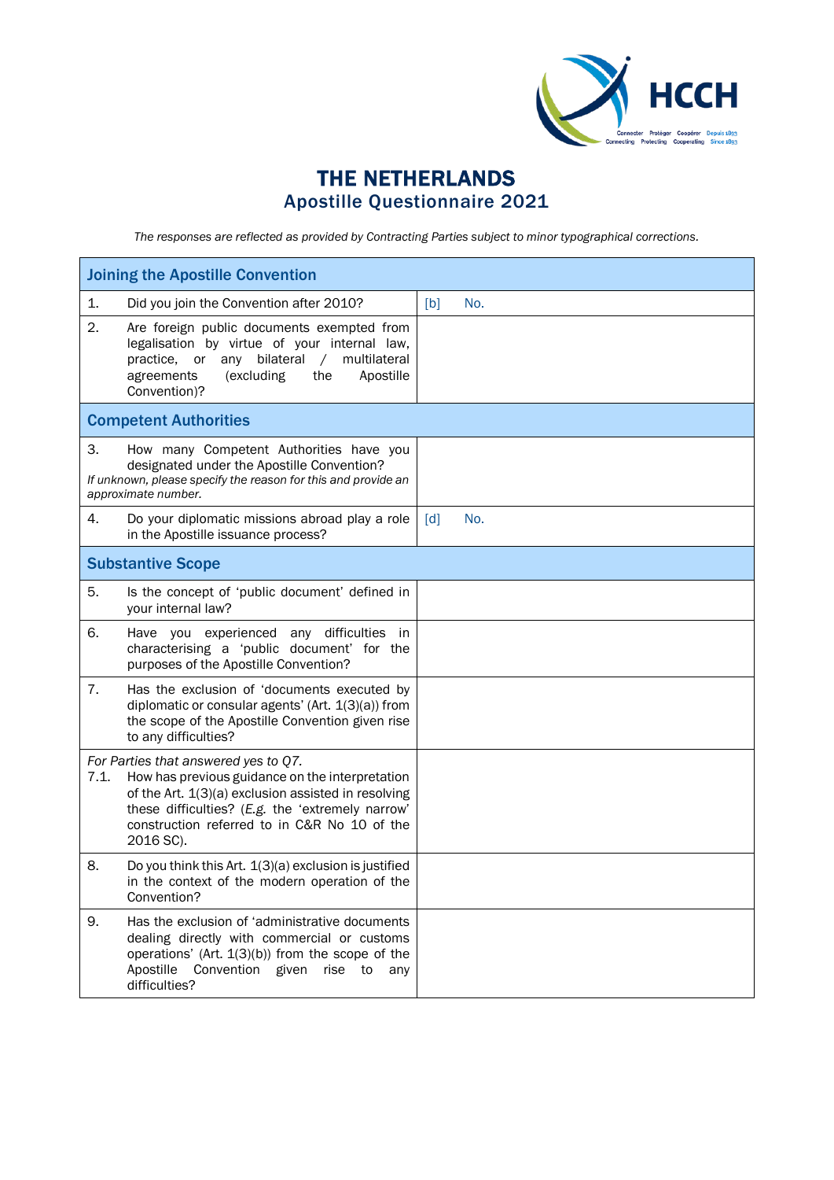

## THE NETHERLANDS Apostille Questionnaire 2021

*The responses are reflected as provided by Contracting Parties subject to minor typographical corrections.*

| <b>Joining the Apostille Convention</b> |                                                                                                                                                                                                                                                                 |                   |     |  |
|-----------------------------------------|-----------------------------------------------------------------------------------------------------------------------------------------------------------------------------------------------------------------------------------------------------------------|-------------------|-----|--|
| 1.                                      | Did you join the Convention after 2010?                                                                                                                                                                                                                         | [b]               | No. |  |
| 2.                                      | Are foreign public documents exempted from<br>legalisation by virtue of your internal law,<br>or any bilateral<br>$\sqrt{2}$<br>multilateral<br>practice,<br>(excluding<br>Apostille<br>agreements<br>the<br>Convention)?                                       |                   |     |  |
|                                         | <b>Competent Authorities</b>                                                                                                                                                                                                                                    |                   |     |  |
| 3.                                      | How many Competent Authorities have you<br>designated under the Apostille Convention?<br>If unknown, please specify the reason for this and provide an<br>approximate number.                                                                                   |                   |     |  |
| 4.                                      | Do your diplomatic missions abroad play a role<br>in the Apostille issuance process?                                                                                                                                                                            | $\lceil d \rceil$ | No. |  |
|                                         | <b>Substantive Scope</b>                                                                                                                                                                                                                                        |                   |     |  |
| 5.                                      | Is the concept of 'public document' defined in<br>your internal law?                                                                                                                                                                                            |                   |     |  |
| 6.                                      | Have you experienced any difficulties in<br>characterising a 'public document' for the<br>purposes of the Apostille Convention?                                                                                                                                 |                   |     |  |
| 7.                                      | Has the exclusion of 'documents executed by<br>diplomatic or consular agents' (Art. $1(3)(a)$ ) from<br>the scope of the Apostille Convention given rise<br>to any difficulties?                                                                                |                   |     |  |
| 7.1.                                    | For Parties that answered yes to Q7.<br>How has previous guidance on the interpretation<br>of the Art. 1(3)(a) exclusion assisted in resolving<br>these difficulties? (E.g. the 'extremely narrow'<br>construction referred to in C&R No 10 of the<br>2016 SC). |                   |     |  |
| 8.                                      | Do you think this Art. 1(3)(a) exclusion is justified<br>in the context of the modern operation of the<br>Convention?                                                                                                                                           |                   |     |  |
| 9.                                      | Has the exclusion of 'administrative documents<br>dealing directly with commercial or customs<br>operations' (Art. $1(3)(b)$ ) from the scope of the<br>Convention given<br>Apostille<br>rise to<br>any<br>difficulties?                                        |                   |     |  |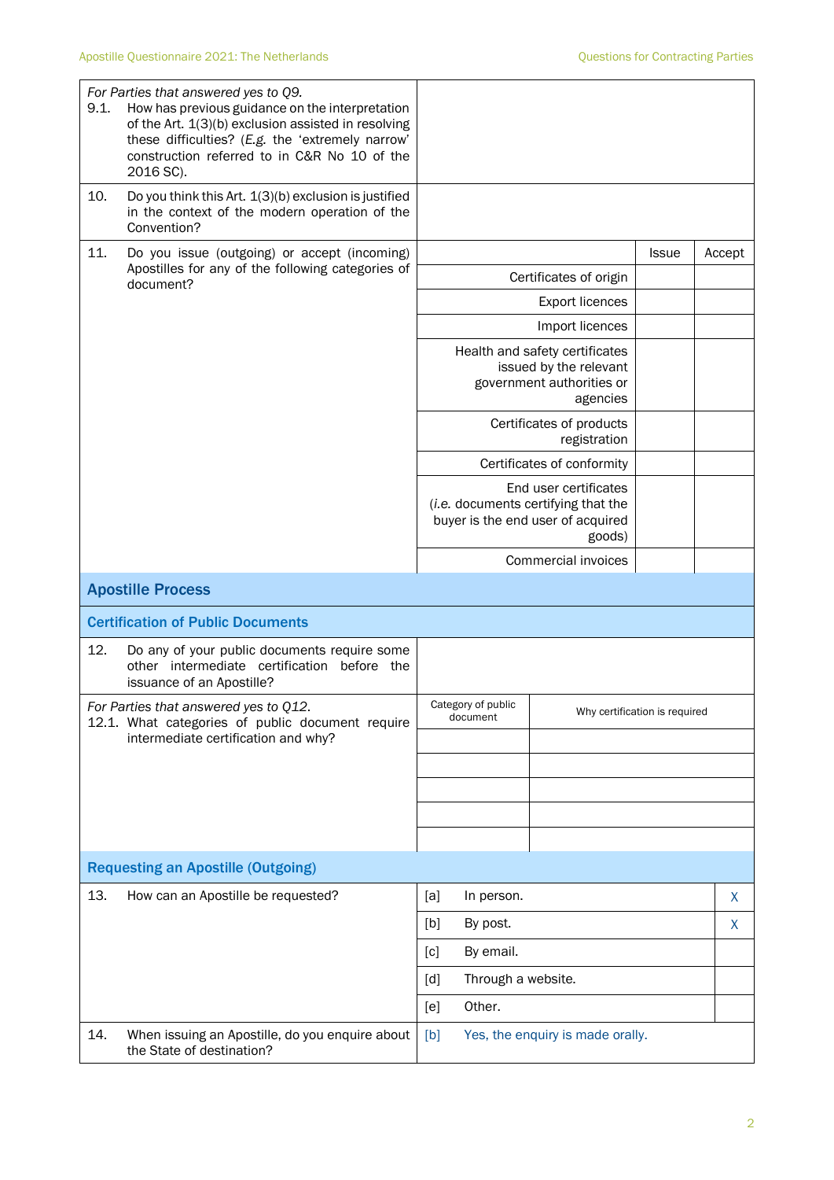| 9.1. | For Parties that answered yes to Q9.<br>How has previous guidance on the interpretation<br>of the Art. 1(3)(b) exclusion assisted in resolving<br>these difficulties? (E.g. the 'extremely narrow'<br>construction referred to in C&R No 10 of the<br>2016 SC). |                                                                                                             |                                                                                                   |              |        |
|------|-----------------------------------------------------------------------------------------------------------------------------------------------------------------------------------------------------------------------------------------------------------------|-------------------------------------------------------------------------------------------------------------|---------------------------------------------------------------------------------------------------|--------------|--------|
| 10.  | Do you think this Art. 1(3)(b) exclusion is justified<br>in the context of the modern operation of the<br>Convention?                                                                                                                                           |                                                                                                             |                                                                                                   |              |        |
| 11.  | Do you issue (outgoing) or accept (incoming)                                                                                                                                                                                                                    |                                                                                                             |                                                                                                   | <b>Issue</b> | Accept |
|      | Apostilles for any of the following categories of<br>document?                                                                                                                                                                                                  |                                                                                                             | Certificates of origin                                                                            |              |        |
|      |                                                                                                                                                                                                                                                                 |                                                                                                             |                                                                                                   |              |        |
|      |                                                                                                                                                                                                                                                                 |                                                                                                             | Import licences                                                                                   |              |        |
|      |                                                                                                                                                                                                                                                                 |                                                                                                             | Health and safety certificates<br>issued by the relevant<br>government authorities or<br>agencies |              |        |
|      |                                                                                                                                                                                                                                                                 |                                                                                                             | Certificates of products<br>registration                                                          |              |        |
|      |                                                                                                                                                                                                                                                                 |                                                                                                             | Certificates of conformity                                                                        |              |        |
|      |                                                                                                                                                                                                                                                                 | End user certificates<br>(i.e. documents certifying that the<br>buyer is the end user of acquired<br>goods) |                                                                                                   |              |        |
|      |                                                                                                                                                                                                                                                                 | Commercial invoices                                                                                         |                                                                                                   |              |        |
|      | <b>Apostille Process</b>                                                                                                                                                                                                                                        |                                                                                                             |                                                                                                   |              |        |
|      | <b>Certification of Public Documents</b>                                                                                                                                                                                                                        |                                                                                                             |                                                                                                   |              |        |
| 12.  | Do any of your public documents require some<br>other intermediate certification before the<br>issuance of an Apostille?                                                                                                                                        |                                                                                                             |                                                                                                   |              |        |
|      | For Parties that answered ves to 012.<br>12.1. What categories of public document require                                                                                                                                                                       | Category of public<br>Why certification is required<br>document                                             |                                                                                                   |              |        |
|      | intermediate certification and why?                                                                                                                                                                                                                             |                                                                                                             |                                                                                                   |              |        |
|      |                                                                                                                                                                                                                                                                 |                                                                                                             |                                                                                                   |              |        |
|      |                                                                                                                                                                                                                                                                 |                                                                                                             |                                                                                                   |              |        |
|      |                                                                                                                                                                                                                                                                 |                                                                                                             |                                                                                                   |              |        |
|      | <b>Requesting an Apostille (Outgoing)</b>                                                                                                                                                                                                                       |                                                                                                             |                                                                                                   |              |        |
| 13.  | How can an Apostille be requested?                                                                                                                                                                                                                              | [a]<br>In person.                                                                                           |                                                                                                   |              | X      |
|      |                                                                                                                                                                                                                                                                 | By post.<br>[b]                                                                                             |                                                                                                   |              | X      |
|      |                                                                                                                                                                                                                                                                 | By email.<br>[c]                                                                                            |                                                                                                   |              |        |
|      |                                                                                                                                                                                                                                                                 | Through a website.<br>[d]                                                                                   |                                                                                                   |              |        |
|      |                                                                                                                                                                                                                                                                 | Other.<br>[e]                                                                                               |                                                                                                   |              |        |
|      |                                                                                                                                                                                                                                                                 |                                                                                                             |                                                                                                   |              |        |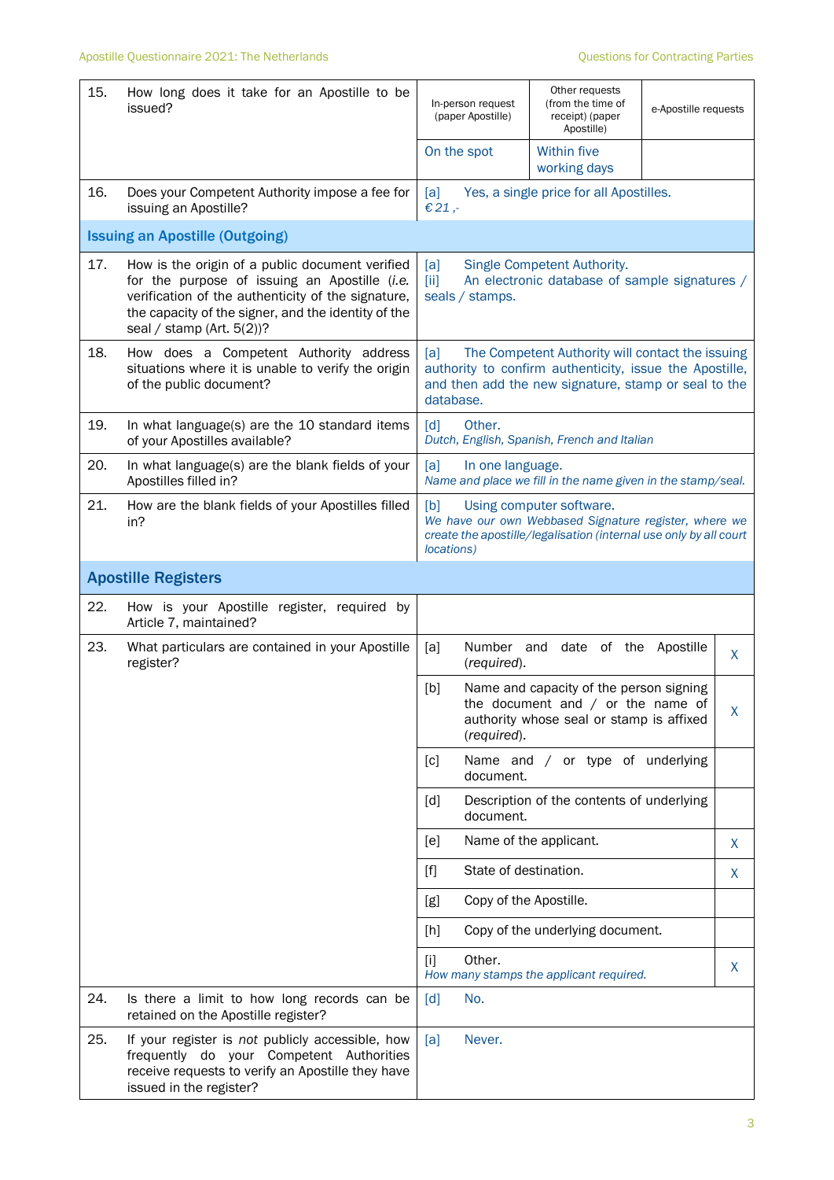| 15. | How long does it take for an Apostille to be<br>issued?                                                                                                                                                                                    | In-person request<br>(paper Apostille)                                                                                                                                                  | Other requests<br>(from the time of<br>receipt) (paper<br>Apostille)                                                       | e-Apostille requests |              |
|-----|--------------------------------------------------------------------------------------------------------------------------------------------------------------------------------------------------------------------------------------------|-----------------------------------------------------------------------------------------------------------------------------------------------------------------------------------------|----------------------------------------------------------------------------------------------------------------------------|----------------------|--------------|
|     |                                                                                                                                                                                                                                            | On the spot                                                                                                                                                                             | <b>Within five</b><br>working days                                                                                         |                      |              |
| 16. | Does your Competent Authority impose a fee for<br>issuing an Apostille?                                                                                                                                                                    | [a]<br>€ 21,-                                                                                                                                                                           | Yes, a single price for all Apostilles.                                                                                    |                      |              |
|     | <b>Issuing an Apostille (Outgoing)</b>                                                                                                                                                                                                     |                                                                                                                                                                                         |                                                                                                                            |                      |              |
| 17. | How is the origin of a public document verified<br>for the purpose of issuing an Apostille (i.e.<br>verification of the authenticity of the signature,<br>the capacity of the signer, and the identity of the<br>seal / stamp (Art. 5(2))? | Single Competent Authority.<br>[a]<br>An electronic database of sample signatures /<br>$\overline{[ii]}$<br>seals / stamps.                                                             |                                                                                                                            |                      |              |
| 18. | How does a Competent Authority address<br>situations where it is unable to verify the origin<br>of the public document?                                                                                                                    | [a]<br>The Competent Authority will contact the issuing<br>authority to confirm authenticity, issue the Apostille,<br>and then add the new signature, stamp or seal to the<br>database. |                                                                                                                            |                      |              |
| 19. | In what language(s) are the 10 standard items<br>of your Apostilles available?                                                                                                                                                             | [d]<br>Other.<br>Dutch, English, Spanish, French and Italian                                                                                                                            |                                                                                                                            |                      |              |
| 20. | In what language(s) are the blank fields of your<br>Apostilles filled in?                                                                                                                                                                  | [a]<br>In one language.<br>Name and place we fill in the name given in the stamp/seal.                                                                                                  |                                                                                                                            |                      |              |
| 21. | How are the blank fields of your Apostilles filled<br>in?                                                                                                                                                                                  | [b]<br>Using computer software.<br>We have our own Webbased Signature register, where we<br>create the apostille/legalisation (internal use only by all court<br>locations)             |                                                                                                                            |                      |              |
|     | <b>Apostille Registers</b>                                                                                                                                                                                                                 |                                                                                                                                                                                         |                                                                                                                            |                      |              |
| 22. | How is your Apostille register, required by<br>Article 7, maintained?                                                                                                                                                                      |                                                                                                                                                                                         |                                                                                                                            |                      |              |
| 23. | What particulars are contained in your Apostille<br>register?                                                                                                                                                                              | [a]<br>(required).                                                                                                                                                                      | Number and date of the Apostille                                                                                           |                      | X.           |
|     |                                                                                                                                                                                                                                            | [b]<br>(required).                                                                                                                                                                      | Name and capacity of the person signing<br>the document and $/$ or the name of<br>authority whose seal or stamp is affixed |                      | $\mathsf{X}$ |
|     |                                                                                                                                                                                                                                            | [c]<br>document.                                                                                                                                                                        | Name and / or type of underlying                                                                                           |                      |              |
|     |                                                                                                                                                                                                                                            | [d]<br>document.                                                                                                                                                                        | Description of the contents of underlying                                                                                  |                      |              |
|     |                                                                                                                                                                                                                                            | [e]                                                                                                                                                                                     | Name of the applicant.                                                                                                     |                      | X.           |
|     |                                                                                                                                                                                                                                            | State of destination.<br>$[f]$                                                                                                                                                          |                                                                                                                            |                      | X            |
|     |                                                                                                                                                                                                                                            | Copy of the Apostille.<br>[g]                                                                                                                                                           |                                                                                                                            |                      |              |
|     |                                                                                                                                                                                                                                            | [h]                                                                                                                                                                                     | Copy of the underlying document.                                                                                           |                      |              |
|     |                                                                                                                                                                                                                                            | $[1]$<br>Other.                                                                                                                                                                         | How many stamps the applicant required.                                                                                    |                      | X            |
| 24. | Is there a limit to how long records can be<br>retained on the Apostille register?                                                                                                                                                         | No.<br>[d]                                                                                                                                                                              |                                                                                                                            |                      |              |
| 25. | If your register is not publicly accessible, how<br>frequently do your Competent Authorities<br>receive requests to verify an Apostille they have<br>issued in the register?                                                               | [a]<br>Never.                                                                                                                                                                           |                                                                                                                            |                      |              |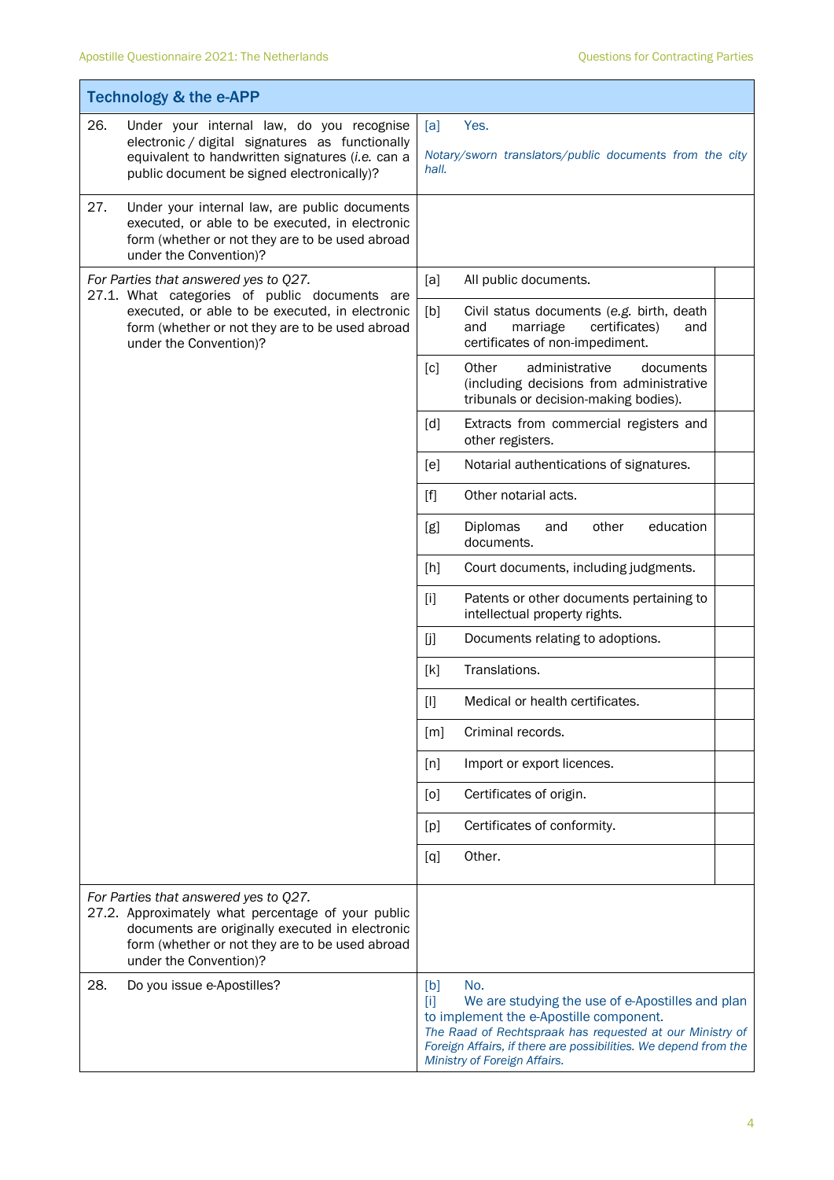$\mathbf{r}$ 

|     | <b>Technology &amp; the e-APP</b>                                                                                                                                                                                           |                   |                                                                                                                                                                                                                                                                   |  |
|-----|-----------------------------------------------------------------------------------------------------------------------------------------------------------------------------------------------------------------------------|-------------------|-------------------------------------------------------------------------------------------------------------------------------------------------------------------------------------------------------------------------------------------------------------------|--|
| 26. | Under your internal law, do you recognise<br>electronic / digital signatures as functionally<br>equivalent to handwritten signatures (i.e. can a<br>public document be signed electronically)?                              | [a]<br>Yes.       |                                                                                                                                                                                                                                                                   |  |
|     |                                                                                                                                                                                                                             | hall.             | Notary/sworn translators/public documents from the city                                                                                                                                                                                                           |  |
| 27. | Under your internal law, are public documents<br>executed, or able to be executed, in electronic<br>form (whether or not they are to be used abroad<br>under the Convention)?                                               |                   |                                                                                                                                                                                                                                                                   |  |
|     | For Parties that answered yes to Q27.<br>27.1. What categories of public documents are<br>executed, or able to be executed, in electronic<br>form (whether or not they are to be used abroad<br>under the Convention)?      | [a]               | All public documents.                                                                                                                                                                                                                                             |  |
|     |                                                                                                                                                                                                                             | [b]               | Civil status documents (e.g. birth, death<br>and<br>marriage<br>certificates)<br>and<br>certificates of non-impediment.                                                                                                                                           |  |
|     |                                                                                                                                                                                                                             | $\lceil c \rceil$ | Other<br>administrative<br>documents<br>(including decisions from administrative<br>tribunals or decision-making bodies).                                                                                                                                         |  |
|     |                                                                                                                                                                                                                             | [d]               | Extracts from commercial registers and<br>other registers.                                                                                                                                                                                                        |  |
|     |                                                                                                                                                                                                                             | [e]               | Notarial authentications of signatures.                                                                                                                                                                                                                           |  |
|     |                                                                                                                                                                                                                             | [f]               | Other notarial acts.                                                                                                                                                                                                                                              |  |
|     |                                                                                                                                                                                                                             | [g]               | Diplomas<br>education<br>and<br>other<br>documents.                                                                                                                                                                                                               |  |
|     |                                                                                                                                                                                                                             | [h]               | Court documents, including judgments.                                                                                                                                                                                                                             |  |
|     |                                                                                                                                                                                                                             | $[1]$             | Patents or other documents pertaining to<br>intellectual property rights.                                                                                                                                                                                         |  |
|     |                                                                                                                                                                                                                             | [j]               | Documents relating to adoptions.                                                                                                                                                                                                                                  |  |
|     |                                                                                                                                                                                                                             | [k]               | Translations.                                                                                                                                                                                                                                                     |  |
|     |                                                                                                                                                                                                                             | $[1]$             | Medical or health certificates.                                                                                                                                                                                                                                   |  |
|     |                                                                                                                                                                                                                             | [m]               | Criminal records.                                                                                                                                                                                                                                                 |  |
|     |                                                                                                                                                                                                                             | [n]               | Import or export licences.                                                                                                                                                                                                                                        |  |
|     |                                                                                                                                                                                                                             | [0]               | Certificates of origin.                                                                                                                                                                                                                                           |  |
|     |                                                                                                                                                                                                                             | [p]               | Certificates of conformity.                                                                                                                                                                                                                                       |  |
|     |                                                                                                                                                                                                                             | [q]               | Other.                                                                                                                                                                                                                                                            |  |
|     | For Parties that answered yes to Q27.<br>27.2. Approximately what percentage of your public<br>documents are originally executed in electronic<br>form (whether or not they are to be used abroad<br>under the Convention)? |                   |                                                                                                                                                                                                                                                                   |  |
| 28. | Do you issue e-Apostilles?                                                                                                                                                                                                  | [b]<br>$[1]$      | No.<br>We are studying the use of e-Apostilles and plan<br>to implement the e-Apostille component.<br>The Raad of Rechtspraak has requested at our Ministry of<br>Foreign Affairs, if there are possibilities. We depend from the<br>Ministry of Foreign Affairs. |  |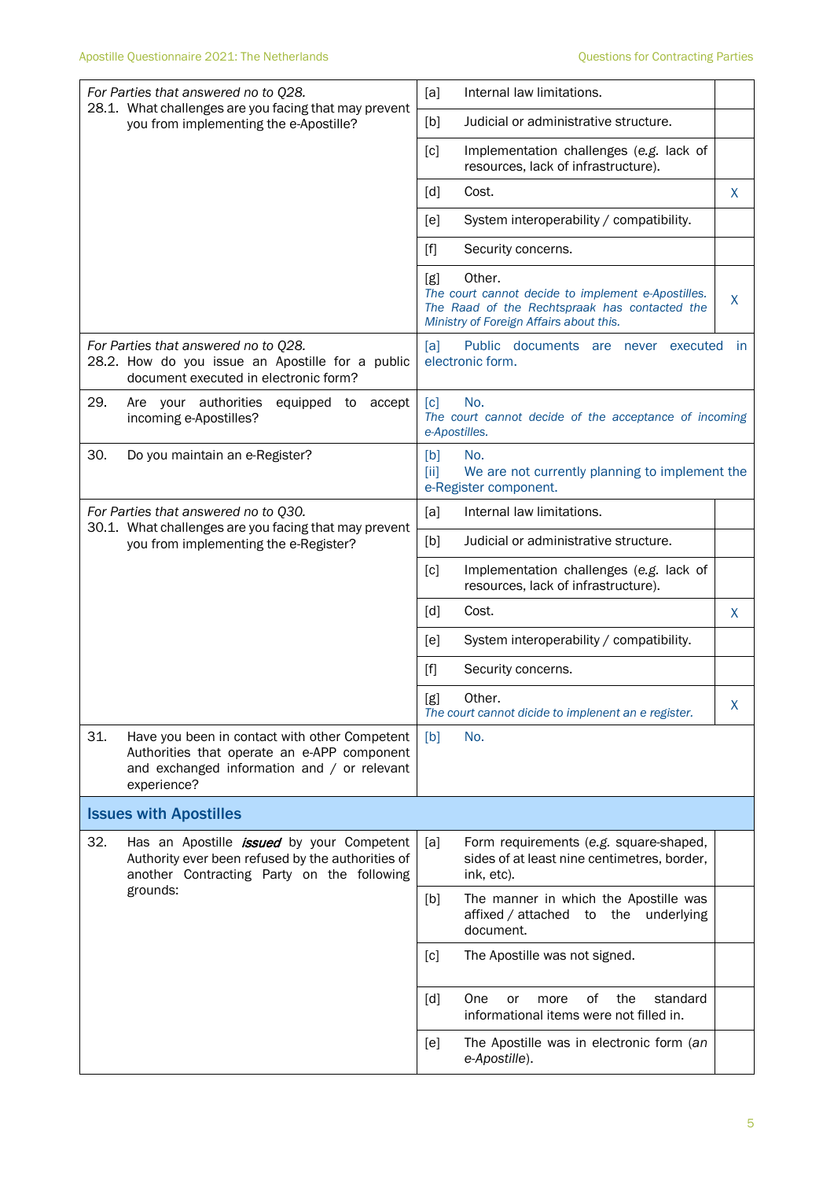| For Parties that answered no to Q28.                                                                                                                              | [a]<br>Internal law limitations.                                                                                                                                     |
|-------------------------------------------------------------------------------------------------------------------------------------------------------------------|----------------------------------------------------------------------------------------------------------------------------------------------------------------------|
| 28.1. What challenges are you facing that may prevent<br>you from implementing the e-Apostille?                                                                   | Judicial or administrative structure.<br>[b]                                                                                                                         |
|                                                                                                                                                                   | Implementation challenges (e.g. lack of<br>$\lceil c \rceil$<br>resources, lack of infrastructure).                                                                  |
|                                                                                                                                                                   | $\lceil d \rceil$<br>Cost.<br>X.                                                                                                                                     |
|                                                                                                                                                                   | System interoperability / compatibility.<br>[e]                                                                                                                      |
|                                                                                                                                                                   | $[f]$<br>Security concerns.                                                                                                                                          |
|                                                                                                                                                                   | Other.<br>[g]<br>The court cannot decide to implement e-Apostilles.<br>X<br>The Raad of the Rechtspraak has contacted the<br>Ministry of Foreign Affairs about this. |
| For Parties that answered no to Q28.<br>28.2. How do you issue an Apostille for a public<br>document executed in electronic form?                                 | Public documents are never executed<br>[a]<br>- in<br>electronic form.                                                                                               |
| 29.<br>Are your authorities<br>equipped to<br>accept<br>incoming e-Apostilles?                                                                                    | No.<br>$\lceil c \rceil$<br>The court cannot decide of the acceptance of incoming<br>e-Apostilles.                                                                   |
| 30.<br>Do you maintain an e-Register?                                                                                                                             | [b]<br>No.<br>We are not currently planning to implement the<br>[ii]<br>e-Register component.                                                                        |
| For Parties that answered no to Q30.                                                                                                                              | Internal law limitations.<br>[a]                                                                                                                                     |
| 30.1. What challenges are you facing that may prevent<br>you from implementing the e-Register?                                                                    | Judicial or administrative structure.<br>[b]                                                                                                                         |
|                                                                                                                                                                   | Implementation challenges (e.g. lack of<br>$\lceil c \rceil$<br>resources, lack of infrastructure).                                                                  |
|                                                                                                                                                                   | Cost.<br>[d]<br>X                                                                                                                                                    |
|                                                                                                                                                                   | System interoperability / compatibility.<br>[e]                                                                                                                      |
|                                                                                                                                                                   | $[f]$<br>Security concerns.                                                                                                                                          |
|                                                                                                                                                                   | Other.<br>[g]<br>Х<br>The court cannot dicide to implenent an e register.                                                                                            |
| 31.<br>Have you been in contact with other Competent<br>Authorities that operate an e-APP component<br>and exchanged information and / or relevant<br>experience? | [b]<br>No.                                                                                                                                                           |
| <b>Issues with Apostilles</b>                                                                                                                                     |                                                                                                                                                                      |
| 32.<br>Has an Apostille <i>issued</i> by your Competent<br>Authority ever been refused by the authorities of<br>another Contracting Party on the following        | [a]<br>Form requirements (e.g. square-shaped,<br>sides of at least nine centimetres, border,<br>ink, etc).                                                           |
| grounds:                                                                                                                                                          | The manner in which the Apostille was<br>[b]<br>affixed / attached to<br>the<br>underlying<br>document.                                                              |
|                                                                                                                                                                   | The Apostille was not signed.<br>[c]                                                                                                                                 |
|                                                                                                                                                                   | 0f<br>the<br>standard<br>[d]<br>One<br>or<br>more<br>informational items were not filled in.                                                                         |
|                                                                                                                                                                   | The Apostille was in electronic form (an<br>[e]<br>e-Apostille).                                                                                                     |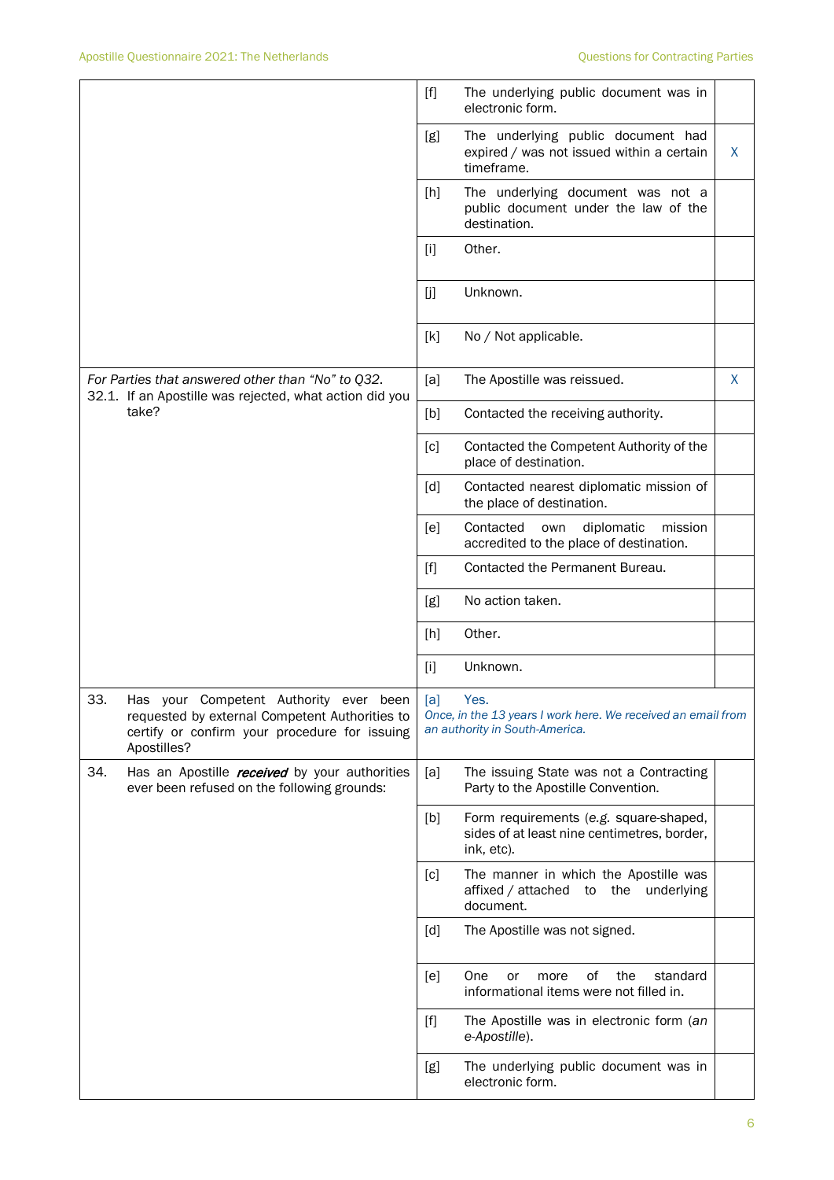|                                                                                                                                                                  |      | $[f]$             | The underlying public document was in<br>electronic form.                                              |   |
|------------------------------------------------------------------------------------------------------------------------------------------------------------------|------|-------------------|--------------------------------------------------------------------------------------------------------|---|
|                                                                                                                                                                  |      | [g]               | The underlying public document had<br>expired / was not issued within a certain<br>timeframe.          | X |
|                                                                                                                                                                  |      | [h]               | The underlying document was not a<br>public document under the law of the<br>destination.              |   |
|                                                                                                                                                                  |      | $[1]$             | Other.                                                                                                 |   |
|                                                                                                                                                                  |      | [j]               | Unknown.                                                                                               |   |
|                                                                                                                                                                  |      | [k]               | No / Not applicable.                                                                                   |   |
| For Parties that answered other than "No" to Q32.<br>32.1. If an Apostille was rejected, what action did you                                                     |      | [a]               | The Apostille was reissued.                                                                            | X |
| take?                                                                                                                                                            |      | [b]               | Contacted the receiving authority.                                                                     |   |
|                                                                                                                                                                  |      | [c]               | Contacted the Competent Authority of the<br>place of destination.                                      |   |
|                                                                                                                                                                  |      | $\lceil d \rceil$ | Contacted nearest diplomatic mission of<br>the place of destination.                                   |   |
|                                                                                                                                                                  |      | [e]               | Contacted<br>diplomatic<br>mission<br>own<br>accredited to the place of destination.                   |   |
|                                                                                                                                                                  |      | [f]               | Contacted the Permanent Bureau.                                                                        |   |
|                                                                                                                                                                  |      | [g]               | No action taken.                                                                                       |   |
|                                                                                                                                                                  |      | [h]               | Other.                                                                                                 |   |
|                                                                                                                                                                  |      | $[1]$             | Unknown.                                                                                               |   |
| 33.<br>Has<br>Competent Authority ever<br>your<br>requested by external Competent Authorities to<br>certify or confirm your procedure for issuing<br>Apostilles? | been | [a]               | Yes.<br>Once, in the 13 years I work here. We received an email from<br>an authority in South-America. |   |
| 34.<br>Has an Apostille <i>received</i> by your authorities<br>ever been refused on the following grounds:                                                       |      | [a]               | The issuing State was not a Contracting<br>Party to the Apostille Convention.                          |   |
|                                                                                                                                                                  |      | [b]               | Form requirements (e.g. square-shaped,<br>sides of at least nine centimetres, border,<br>ink, etc).    |   |
|                                                                                                                                                                  |      | [c]               | The manner in which the Apostille was<br>affixed / attached to the underlying<br>document.             |   |
|                                                                                                                                                                  |      | [d]               | The Apostille was not signed.                                                                          |   |
|                                                                                                                                                                  |      | [e]               | of<br>the<br>One<br>standard<br>or<br>more<br>informational items were not filled in.                  |   |
|                                                                                                                                                                  |      | $[f]$             | The Apostille was in electronic form (an<br>e-Apostille).                                              |   |
|                                                                                                                                                                  |      | [g]               | The underlying public document was in<br>electronic form.                                              |   |